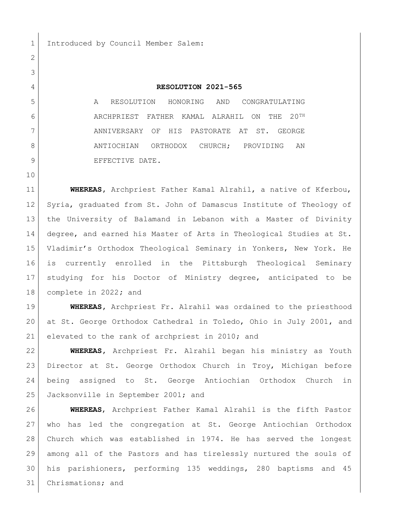1 Introduced by Council Member Salem:

## **RESOLUTION 2021-565**

 A RESOLUTION HONORING AND CONGRATULATING ARCHPRIEST FATHER KAMAL ALRAHIL ON THE 20TH 7 ANNIVERSARY OF HIS PASTORATE AT ST. GEORGE 8 ANTIOCHIAN ORTHODOX CHURCH; PROVIDING AN 9 BEFECTIVE DATE.

 **WHEREAS,** Archpriest Father Kamal Alrahil, a native of Kferbou, Syria, graduated from St. John of Damascus Institute of Theology of the University of Balamand in Lebanon with a Master of Divinity degree, and earned his Master of Arts in Theological Studies at St. Vladimir's Orthodox Theological Seminary in Yonkers, New York. He is currently enrolled in the Pittsburgh Theological Seminary studying for his Doctor of Ministry degree, anticipated to be complete in 2022**;** and

 **WHEREAS,** Archpriest Fr. Alrahil was ordained to the priesthood at St. George Orthodox Cathedral in Toledo, Ohio in July 2001, and 21 elevated to the rank of archpriest in 2010; and

 **WHEREAS,** Archpriest Fr. Alrahil began his ministry as Youth Director at St. George Orthodox Church in Troy, Michigan before being assigned to St. George Antiochian Orthodox Church in Jacksonville in September 2001; and

 **WHEREAS**, Archpriest Father Kamal Alrahil is the fifth Pastor who has led the congregation at St. George Antiochian Orthodox Church which was established in 1974. He has served the longest among all of the Pastors and has tirelessly nurtured the souls of his parishioners, performing 135 weddings, 280 baptisms and 45 Chrismations; and